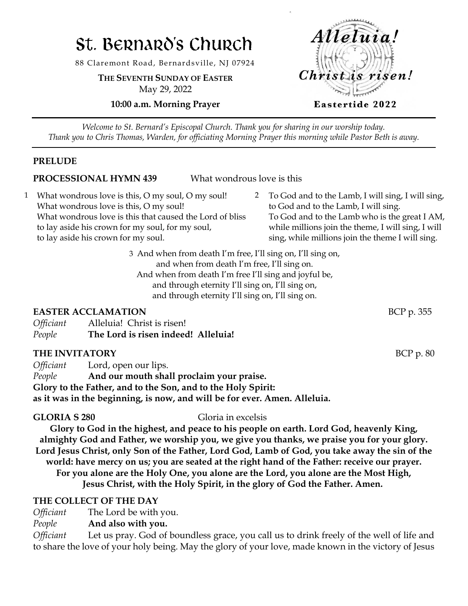# St. Bernard's Church

88 Claremont Road, Bernardsville, NJ 07924

**THE SEVENTH SUNDAY OF EASTER** May 29, 2022

**10:00 a.m. Morning Prayer**



*Welcome to St. Bernard's Episcopal Church. Thank you for sharing in our worship today. Thank you to Chris Thomas, Warden, for officiating Morning Prayer this morning while Pastor Beth is away.*

#### **PRELUDE**

#### **PROCESSIONAL HYMN 439** What wondrous love is this

- 1 What wondrous love is this, O my soul, O my soul! What wondrous love is this, O my soul! What wondrous love is this that caused the Lord of bliss to lay aside his crown for my soul, for my soul, to lay aside his crown for my soul.
- 2 To God and to the Lamb, I will sing, I will sing, to God and to the Lamb, I will sing. To God and to the Lamb who is the great I AM, while millions join the theme, I will sing, I will sing, while millions join the theme I will sing.

3 And when from death I'm free, I'll sing on, I'll sing on, and when from death I'm free, I'll sing on. And when from death I'm free I'll sing and joyful be, and through eternity I'll sing on, I'll sing on, and through eternity I'll sing on, I'll sing on.

#### **EASTER ACCLAMATION** BCP p. 355

| <i><b>Officiant</b></i> | Alleluia! Christ is risen!          |  |
|-------------------------|-------------------------------------|--|
| People                  | The Lord is risen indeed! Alleluia! |  |

#### **THE INVITATORY** BCP p. 80

*Officiant* Lord, open our lips. *People* **And our mouth shall proclaim your praise. Glory to the Father, and to the Son, and to the Holy Spirit: as it was in the beginning, is now, and will be for ever. Amen. Alleluia.**

**GLORIA S 280** Gloria in excelsis

**Glory to God in the highest, and peace to his people on earth. Lord God, heavenly King, almighty God and Father, we worship you, we give you thanks, we praise you for your glory. Lord Jesus Christ, only Son of the Father, Lord God, Lamb of God, you take away the sin of the world: have mercy on us; you are seated at the right hand of the Father: receive our prayer. For you alone are the Holy One, you alone are the Lord, you alone are the Most High, Jesus Christ, with the Holy Spirit, in the glory of God the Father. Amen.**

### **THE COLLECT OF THE DAY**

*Officiant* The Lord be with you.

*People* **And also with you.**

*Officiant* Let us pray. God of boundless grace, you call us to drink freely of the well of life and to share the love of your holy being. May the glory of your love, made known in the victory of Jesus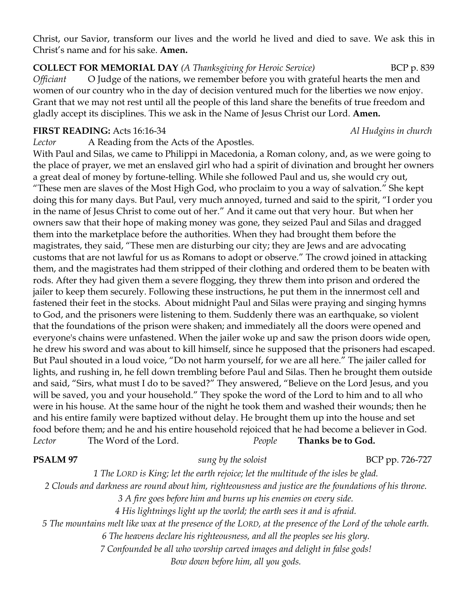Christ, our Savior, transform our lives and the world he lived and died to save. We ask this in Christ's name and for his sake. **Amen.**

**COLLECT FOR MEMORIAL DAY** *(A Thanksgiving for Heroic Service)* BCP p. 839 *Officiant* O Judge of the nations, we remember before you with grateful hearts the men and women of our country who in the day of decision ventured much for the liberties we now enjoy. Grant that we may not rest until all the people of this land share the benefits of true freedom and gladly accept its disciplines. This we ask in the Name of Jesus Christ our Lord. **Amen.**

#### **FIRST READING:** Acts 16:16-34 *Al Hudgins in church*

*Lector* A Reading from the Acts of the Apostles.

With Paul and Silas, we came to Philippi in Macedonia, a Roman colony, and, as we were going to the place of prayer, we met an enslaved girl who had a spirit of divination and brought her owners a great deal of money by fortune-telling. While she followed Paul and us, she would cry out, "These men are slaves of the Most High God, who proclaim to you a way of salvation." She kept doing this for many days. But Paul, very much annoyed, turned and said to the spirit, "I order you in the name of Jesus Christ to come out of her." And it came out that very hour. But when her owners saw that their hope of making money was gone, they seized Paul and Silas and dragged them into the marketplace before the authorities. When they had brought them before the magistrates, they said, "These men are disturbing our city; they are Jews and are advocating customs that are not lawful for us as Romans to adopt or observe." The crowd joined in attacking them, and the magistrates had them stripped of their clothing and ordered them to be beaten with rods. After they had given them a severe flogging, they threw them into prison and ordered the jailer to keep them securely. Following these instructions, he put them in the innermost cell and fastened their feet in the stocks. About midnight Paul and Silas were praying and singing hymns to God, and the prisoners were listening to them. Suddenly there was an earthquake, so violent that the foundations of the prison were shaken; and immediately all the doors were opened and everyone's chains were unfastened. When the jailer woke up and saw the prison doors wide open, he drew his sword and was about to kill himself, since he supposed that the prisoners had escaped. But Paul shouted in a loud voice, "Do not harm yourself, for we are all here." The jailer called for lights, and rushing in, he fell down trembling before Paul and Silas. Then he brought them outside and said, "Sirs, what must I do to be saved?" They answered, "Believe on the Lord Jesus, and you will be saved, you and your household." They spoke the word of the Lord to him and to all who were in his house. At the same hour of the night he took them and washed their wounds; then he and his entire family were baptized without delay. He brought them up into the house and set food before them; and he and his entire household rejoiced that he had become a believer in God. *Lector* The Word of the Lord. *People* **Thanks be to God.**

#### **PSALM 97** *sung by the soloist* BCP pp. 726-727

*1 The LORD is King; let the earth rejoice; let the multitude of the isles be glad. 2 Clouds and darkness are round about him, righteousness and justice are the foundations of his throne. 3 A fire goes before him and burns up his enemies on every side. 4 His lightnings light up the world; the earth sees it and is afraid. 5 The mountains melt like wax at the presence of the LORD, at the presence of the Lord of the whole earth.*

*6 The heavens declare his righteousness, and all the peoples see his glory.*

*7 Confounded be all who worship carved images and delight in false gods! Bow down before him, all you gods.*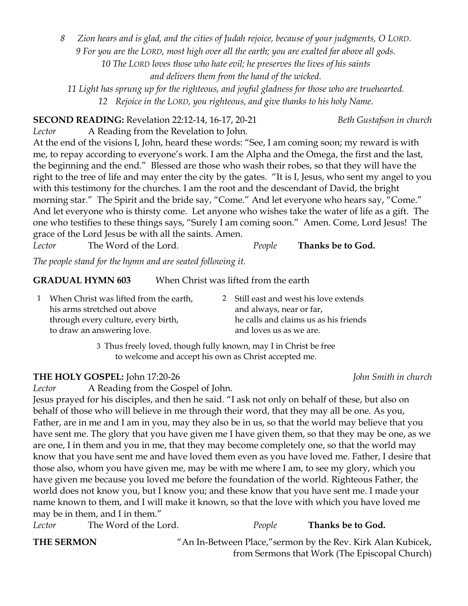*8 Zion hears and is glad, and the cities of Judah rejoice, because of your judgments, O LORD. 9 For you are the LORD, most high over all the earth; you are exalted far above all gods. 10 The LORD loves those who hate evil; he preserves the lives of his saints and delivers them from the hand of the wicked.*

*11 Light has sprung up for the righteous, and joyful gladness for those who are truehearted. 12 Rejoice in the LORD, you righteous, and give thanks to his holy Name.*

**SECOND READING:** Revelation 22:12-14, 16-17, 20-21 *Beth Gustafson in church*

*Lector* A Reading from the Revelation to John. At the end of the visions I, John, heard these words: "See, I am coming soon; my reward is with me, to repay according to everyone's work. I am the Alpha and the Omega, the first and the last, the beginning and the end." Blessed are those who wash their robes, so that they will have the right to the tree of life and may enter the city by the gates. "It is I, Jesus, who sent my angel to you with this testimony for the churches. I am the root and the descendant of David, the bright morning star." The Spirit and the bride say, "Come." And let everyone who hears say, "Come." And let everyone who is thirsty come. Let anyone who wishes take the water of life as a gift. The one who testifies to these things says, "Surely I am coming soon." Amen. Come, Lord Jesus! The grace of the Lord Jesus be with all the saints. Amen.

*Lector* The Word of the Lord. *People* **Thanks be to God.**

*The people stand for the hymn and are seated following it.*

## **GRADUAL HYMN 603** When Christ was lifted from the earth

| 1 When Christ was lifted from the earth, | 2 Still east and west his love extends |
|------------------------------------------|----------------------------------------|
| his arms stretched out above             | and always, near or far,               |
| through every culture, every birth,      | he calls and claims us as his friends  |
| to draw an answering love.               | and loves us as we are.                |

3 Thus freely loved, though fully known, may I in Christ be free to welcome and accept his own as Christ accepted me.

### **THE HOLY GOSPEL:** John 17:20-26 *John Smith in church*

*Lector* A Reading from the Gospel of John.

Jesus prayed for his disciples, and then he said. "I ask not only on behalf of these, but also on behalf of those who will believe in me through their word, that they may all be one. As you, Father, are in me and I am in you, may they also be in us, so that the world may believe that you have sent me. The glory that you have given me I have given them, so that they may be one, as we are one, I in them and you in me, that they may become completely one, so that the world may know that you have sent me and have loved them even as you have loved me. Father, I desire that those also, whom you have given me, may be with me where I am, to see my glory, which you have given me because you loved me before the foundation of the world. Righteous Father, the world does not know you, but I know you; and these know that you have sent me. I made your name known to them, and I will make it known, so that the love with which you have loved me may be in them, and I in them."

*Lector* The Word of the Lord. *People* **Thanks be to God.**

**THE SERMON** "An In-Between Place," sermon by the Rev. Kirk Alan Kubicek, from Sermons that Work (The Episcopal Church)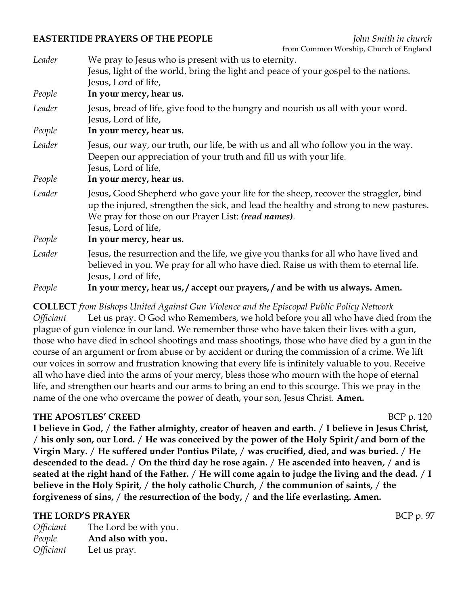#### **EASTERTIDE PRAYERS OF THE PEOPLE** *John Smith in church*

|        | <u>nom common worship, church or England</u>                                                                                                                                                                                                                       |
|--------|--------------------------------------------------------------------------------------------------------------------------------------------------------------------------------------------------------------------------------------------------------------------|
| Leader | We pray to Jesus who is present with us to eternity.                                                                                                                                                                                                               |
|        | Jesus, light of the world, bring the light and peace of your gospel to the nations.<br>Jesus, Lord of life,                                                                                                                                                        |
| People | In your mercy, hear us.                                                                                                                                                                                                                                            |
| Leader | Jesus, bread of life, give food to the hungry and nourish us all with your word.<br>Jesus, Lord of life,                                                                                                                                                           |
| People | In your mercy, hear us.                                                                                                                                                                                                                                            |
| Leader | Jesus, our way, our truth, our life, be with us and all who follow you in the way.<br>Deepen our appreciation of your truth and fill us with your life.<br>Jesus, Lord of life,                                                                                    |
| People | In your mercy, hear us.                                                                                                                                                                                                                                            |
| Leader | Jesus, Good Shepherd who gave your life for the sheep, recover the straggler, bind<br>up the injured, strengthen the sick, and lead the healthy and strong to new pastures.<br>We pray for those on our Prayer List: <i>(read names)</i> .<br>Jesus, Lord of life, |
| People | In your mercy, hear us.                                                                                                                                                                                                                                            |
| Leader | Jesus, the resurrection and the life, we give you thanks for all who have lived and<br>believed in you. We pray for all who have died. Raise us with them to eternal life.<br>Jesus, Lord of life,                                                                 |
| People | In your mercy, hear us, / accept our prayers, / and be with us always. Amen.                                                                                                                                                                                       |

**COLLECT** *from Bishops United Against Gun Violence and the Episcopal Public Policy Network Officiant* Let us pray. O God who Remembers, we hold before you all who have died from the plague of gun violence in our land. We remember those who have taken their lives with a gun, those who have died in school shootings and mass shootings, those who have died by a gun in the course of an argument or from abuse or by accident or during the commission of a crime. We lift our voices in sorrow and frustration knowing that every life is infinitely valuable to you. Receive all who have died into the arms of your mercy, bless those who mourn with the hope of eternal life, and strengthen our hearts and our arms to bring an end to this scourge. This we pray in the name of the one who overcame the power of death, your son, Jesus Christ. **Amen.**

# **THE APOSTLES' CREED** BCP p. 120

**I believe in God,** / **the Father almighty, creator of heaven and earth.** / **I believe in Jesus Christ,**  / **his only son, our Lord.** / **He was conceived by the power of the Holy Spirit / and born of the Virgin Mary.** / **He suffered under Pontius Pilate,** / **was crucified, died, and was buried.** / **He descended to the dead.** / **On the third day he rose again.** / **He ascended into heaven,** / **and is seated at the right hand of the Father.** / **He will come again to judge the living and the dead.** / **I believe in the Holy Spirit,** / **the holy catholic Church,** / **the communion of saints,** / **the forgiveness of sins,** / **the resurrection of the body,** / **and the life everlasting. Amen.**

### **THE LORD'S PRAYER** BCP p. 97

*Officiant* The Lord be with you. *People* **And also with you.** *Officiant* Let us pray.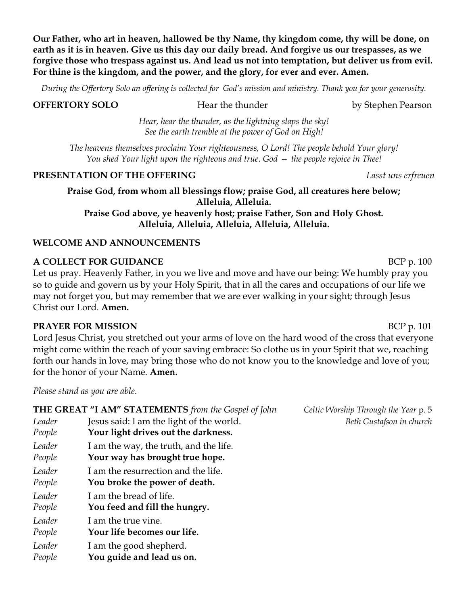**Our Father, who art in heaven, hallowed be thy Name, thy kingdom come, thy will be done, on earth as it is in heaven. Give us this day our daily bread. And forgive us our trespasses, as we forgive those who trespass against us. And lead us not into temptation, but deliver us from evil. For thine is the kingdom, and the power, and the glory, for ever and ever. Amen.**

*During the Offertory Solo an offering is collected for God's mission and ministry. Thank you for your generosity.*

**OFFERTORY SOLO** Hear the thunder by Stephen Pearson

*Hear, hear the thunder, as the lightning slaps the sky! See the earth tremble at the power of God on High!*

*The heavens themselves proclaim Your righteousness, O Lord! The people behold Your glory! You shed Your light upon the righteous and true. God — the people rejoice in Thee!*

#### **PRESENTATION OF THE OFFERING** *Lasst uns erfreuen*

**Praise God, from whom all blessings flow; praise God, all creatures here below; Alleluia, Alleluia. Praise God above, ye heavenly host; praise Father, Son and Holy Ghost. Alleluia, Alleluia, Alleluia, Alleluia, Alleluia.**

#### **WELCOME AND ANNOUNCEMENTS**

#### **A COLLECT FOR GUIDANCE** BCP p. 100

Let us pray. Heavenly Father, in you we live and move and have our being: We humbly pray you so to guide and govern us by your Holy Spirit, that in all the cares and occupations of our life we may not forget you, but may remember that we are ever walking in your sight; through Jesus Christ our Lord. **Amen.**

#### **PRAYER FOR MISSION** BCP p. 101

Lord Jesus Christ, you stretched out your arms of love on the hard wood of the cross that everyone might come within the reach of your saving embrace: So clothe us in your Spirit that we, reaching forth our hands in love, may bring those who do not know you to the knowledge and love of you; for the honor of your Name. **Amen.**

*Please stand as you are able.*

|        | THE GREAT "I AM" STATEMENTS from the Gospel of John |
|--------|-----------------------------------------------------|
| Leader | Jesus said: I am the light of the world.            |
| People | Your light drives out the darkness.                 |
| Leader | I am the way, the truth, and the life.              |
| People | Your way has brought true hope.                     |
| Leader | I am the resurrection and the life.                 |
| People | You broke the power of death.                       |
| Leader | I am the bread of life.                             |
| People | You feed and fill the hungry.                       |
| Leader | I am the true vine.                                 |
| People | Your life becomes our life.                         |
| Leader | I am the good shepherd.                             |
| People | You guide and lead us on.                           |

*Celtic Worship Through the Year p. 5 Leader* Jesus said: I am the light of the world. *Beth Gustafson in church*